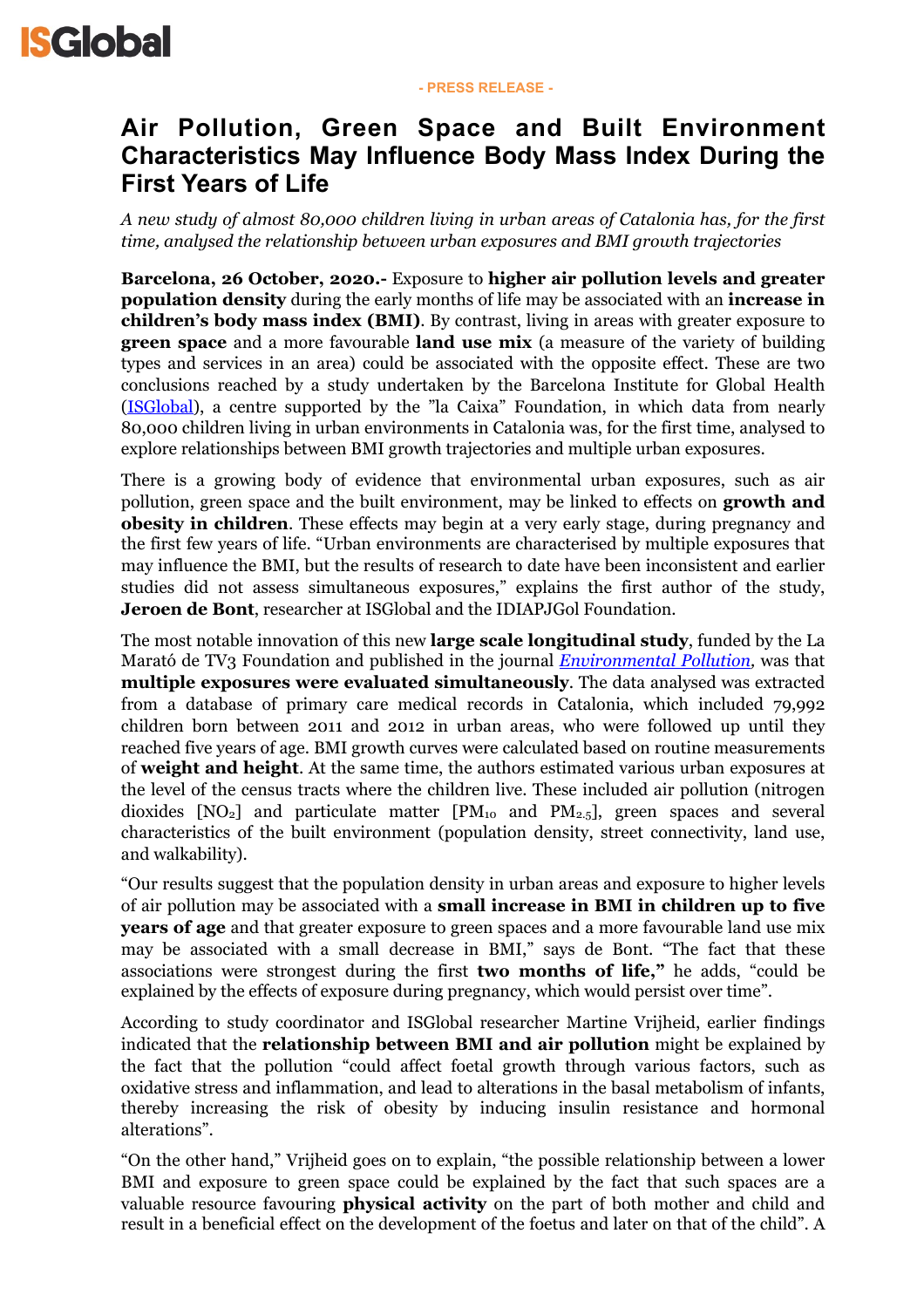## **Air Pollution, Green Space and Built Environment Characteristics May Influence Body Mass Index During the First Years of Life**

*A new study of almost 80,000 children living in urban areas of Catalonia has, for the first time, analysed the relationship between urban exposures and BMI growth trajectories* 

**Barcelona, 26 October, 2020.-** Exposure to **higher air pollution levels and greater population density** during the early months of life may be associated with an **increase in children's body mass index (BMI)**. By contrast, living in areas with greater exposure to **green space** and a more favourable **land use mix** (a measure of the variety of building types and services in an area) could be associated with the opposite effect. These are two conclusions reached by a study undertaken by the Barcelona Institute for Global Health [\(ISGlobal](http://www.isglobal.org/es)), a centre supported by the "la Caixa" Foundation, in which data from nearly 80,000 children living in urban environments in Catalonia was, for the first time, analysed to explore relationships between BMI growth trajectories and multiple urban exposures.

There is a growing body of evidence that environmental urban exposures, such as air pollution, green space and the built environment, may be linked to effects on **growth and obesity in children**. These effects may begin at a very early stage, during pregnancy and the first few years of life. "Urban environments are characterised by multiple exposures that may influence the BMI, but the results of research to date have been inconsistent and earlier studies did not assess simultaneous exposures," explains the first author of the study, **Jeroen de Bont**, researcher at ISGlobal and the IDIAPJGol Foundation.

The most notable innovation of this new **large scale longitudinal study**, funded by the La Marató de TV3 Foundation and published in the journal *[Environmental Pollution](https://doi.org/10.1016/j.envpol.2020.115266),* was that **multiple exposures were evaluated simultaneously**. The data analysed was extracted from a database of primary care medical records in Catalonia, which included 79,992 children born between 2011 and 2012 in urban areas, who were followed up until they reached five years of age. BMI growth curves were calculated based on routine measurements of **weight and height**. At the same time, the authors estimated various urban exposures at the level of the census tracts where the children live. These included air pollution (nitrogen dioxides  $[NO_2]$  and particulate matter  $[PM_{10}$  and  $PM_{2.5}]$ , green spaces and several characteristics of the built environment (population density, street connectivity, land use, and walkability).

"Our results suggest that the population density in urban areas and exposure to higher levels of air pollution may be associated with a **small increase in BMI in children up to five years of age** and that greater exposure to green spaces and a more favourable land use mix may be associated with a small decrease in BMI," says de Bont. "The fact that these associations were strongest during the first **two months of life,"** he adds, "could be explained by the effects of exposure during pregnancy, which would persist over time".

According to study coordinator and ISGlobal researcher Martine Vrijheid, earlier findings indicated that the **relationship between BMI and air pollution** might be explained by the fact that the pollution "could affect foetal growth through various factors, such as oxidative stress and inflammation, and lead to alterations in the basal metabolism of infants, thereby increasing the risk of obesity by inducing insulin resistance and hormonal alterations".

"On the other hand," Vrijheid goes on to explain, "the possible relationship between a lower BMI and exposure to green space could be explained by the fact that such spaces are a valuable resource favouring **physical activity** on the part of both mother and child and result in a beneficial effect on the development of the foetus and later on that of the child". A